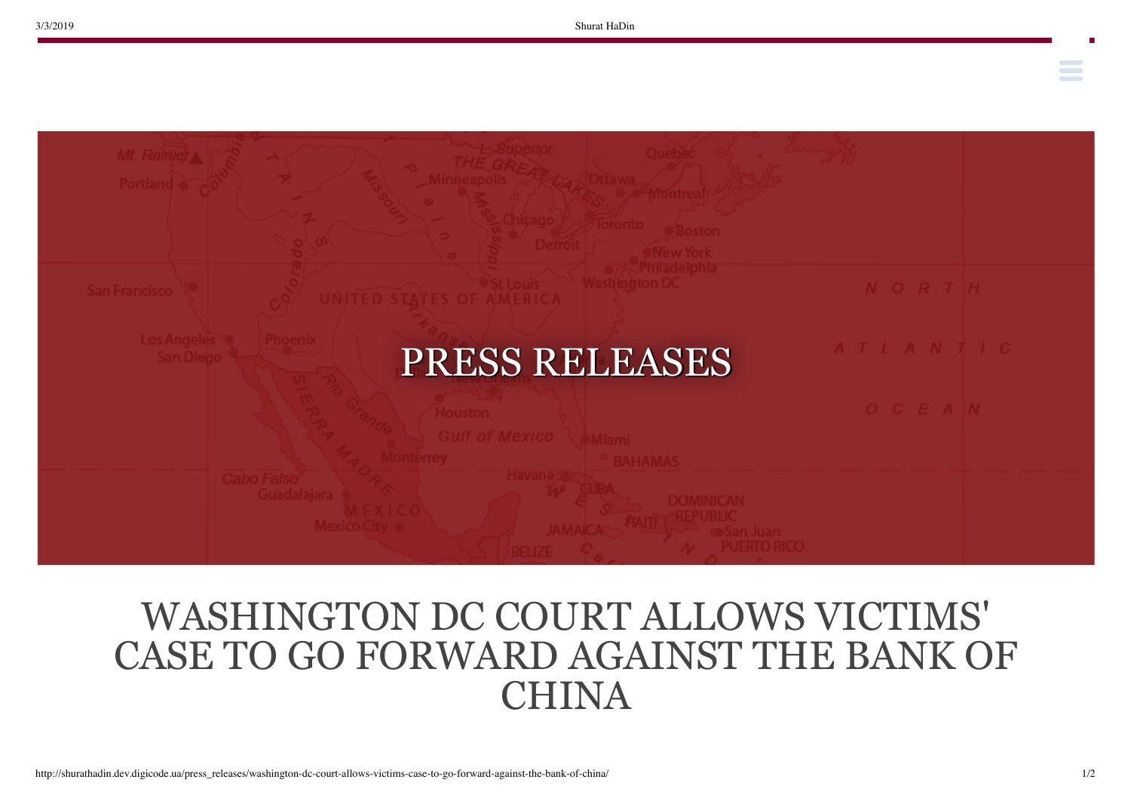**Contract Contract** 



## WASHINGTON DC COURT ALLOWS VICTIMS' CASE TO GO FORWARD AGAINST THE BANK OF CHINA